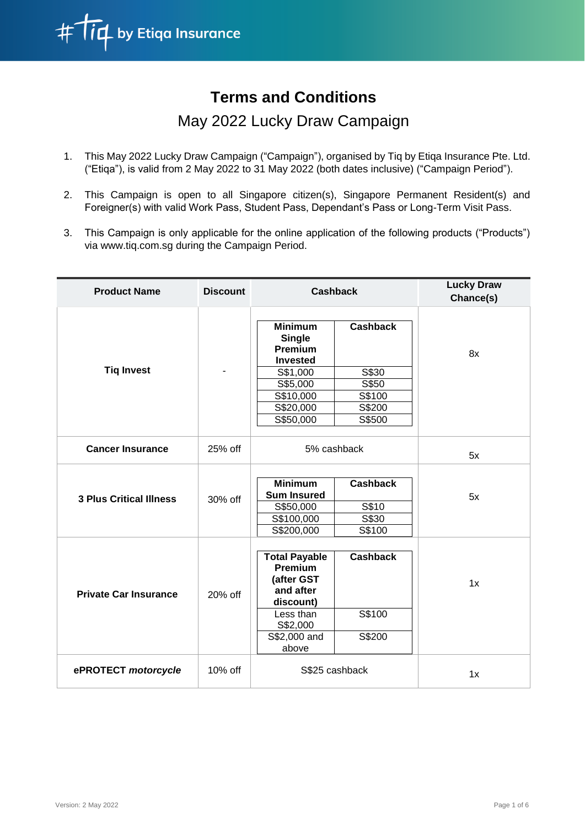

# **Terms and Conditions**

# May 2022 Lucky Draw Campaign

- 1. This May 2022 Lucky Draw Campaign ("Campaign"), organised by Tiq by Etiqa Insurance Pte. Ltd. ("Etiqa"), is valid from 2 May 2022 to 31 May 2022 (both dates inclusive) ("Campaign Period").
- 2. This Campaign is open to all Singapore citizen(s), Singapore Permanent Resident(s) and Foreigner(s) with valid Work Pass, Student Pass, Dependant's Pass or Long-Term Visit Pass.
- 3. This Campaign is only applicable for the online application of the following products ("Products") via www.tiq.com.sg during the Campaign Period.

| <b>Product Name</b>            | <b>Discount</b> | <b>Cashback</b>                                                                                                                  |                                                                 | <b>Lucky Draw</b><br>Chance(s) |
|--------------------------------|-----------------|----------------------------------------------------------------------------------------------------------------------------------|-----------------------------------------------------------------|--------------------------------|
| <b>Tiq Invest</b>              |                 | <b>Minimum</b><br><b>Single</b><br>Premium<br><b>Invested</b><br>S\$1,000<br>S\$5,000<br>S\$10,000<br>S\$20,000<br>S\$50,000     | <b>Cashback</b><br>S\$30<br>S\$50<br>S\$100<br>S\$200<br>S\$500 | 8x                             |
| <b>Cancer Insurance</b>        | 25% off         | 5% cashback                                                                                                                      |                                                                 | 5x                             |
| <b>3 Plus Critical Illness</b> | 30% off         | <b>Minimum</b><br><b>Sum Insured</b><br>S\$50,000<br>S\$100,000<br>S\$200,000                                                    | <b>Cashback</b><br>S\$10<br>S\$30<br>S\$100                     | 5x                             |
| <b>Private Car Insurance</b>   | 20% off         | <b>Total Payable</b><br><b>Premium</b><br>(after GST<br>and after<br>discount)<br>Less than<br>S\$2,000<br>S\$2,000 and<br>above | <b>Cashback</b><br>S\$100<br>S\$200                             | 1x                             |
| ePROTECT motorcycle            | 10% off         | S\$25 cashback                                                                                                                   |                                                                 | 1x                             |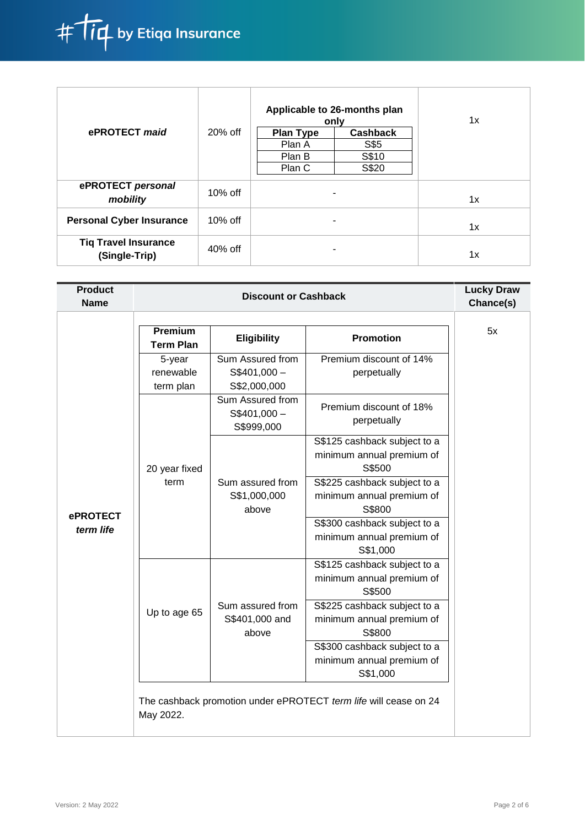

|                                              |            | Applicable to 26-months plan<br>only |                 | 1x |
|----------------------------------------------|------------|--------------------------------------|-----------------|----|
| ePROTECT maid                                | $20%$ off  | <b>Plan Type</b>                     | <b>Cashback</b> |    |
|                                              |            | Plan A                               | S\$5            |    |
|                                              |            | Plan B                               | S\$10           |    |
|                                              |            | Plan C                               | S\$20           |    |
| ePROTECT personal<br>mobility                | $10\%$ off |                                      |                 | 1x |
| <b>Personal Cyber Insurance</b>              | $10\%$ off |                                      |                 | 1x |
| <b>Tiq Travel Insurance</b><br>(Single-Trip) | $40\%$ off |                                      |                 | 1x |

| <b>Product</b><br><b>Name</b> | <b>Discount or Cashback</b>      |                                                   |                                                                       | <b>Lucky Draw</b><br>Chance(s) |
|-------------------------------|----------------------------------|---------------------------------------------------|-----------------------------------------------------------------------|--------------------------------|
|                               | Premium<br><b>Term Plan</b>      | <b>Eligibility</b>                                | <b>Promotion</b>                                                      | 5x                             |
|                               | 5-year<br>renewable<br>term plan | Sum Assured from<br>$S$401,000 -$<br>S\$2,000,000 | Premium discount of 14%<br>perpetually                                |                                |
|                               |                                  | Sum Assured from<br>$S$401,000 -$<br>S\$999,000   | Premium discount of 18%<br>perpetually                                |                                |
| <b>ePROTECT</b>               | 20 year fixed<br>term            |                                                   | S\$125 cashback subject to a<br>minimum annual premium of<br>S\$500   |                                |
|                               |                                  | Sum assured from<br>S\$1,000,000<br>above         | S\$225 cashback subject to a<br>minimum annual premium of<br>S\$800   |                                |
| term life                     |                                  |                                                   | S\$300 cashback subject to a<br>minimum annual premium of<br>S\$1,000 |                                |
|                               |                                  |                                                   | S\$125 cashback subject to a<br>minimum annual premium of<br>S\$500   |                                |
|                               | Up to age 65                     | Sum assured from<br>S\$401,000 and<br>above       | S\$225 cashback subject to a<br>minimum annual premium of<br>S\$800   |                                |
|                               |                                  |                                                   | S\$300 cashback subject to a<br>minimum annual premium of<br>S\$1,000 |                                |
|                               | May 2022.                        |                                                   | The cashback promotion under ePROTECT term life will cease on 24      |                                |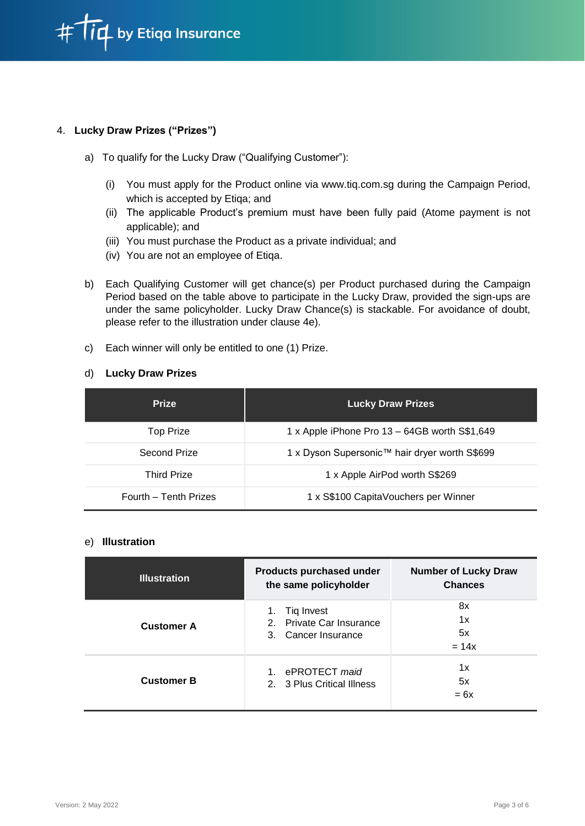

### 4. **Lucky Draw Prizes ("Prizes")**

- a) To qualify for the Lucky Draw ("Qualifying Customer"):
	- (i) You must apply for the Product online via www.tiq.com.sg during the Campaign Period, which is accepted by Etiqa; and
	- (ii) The applicable Product's premium must have been fully paid (Atome payment is not applicable); and
	- (iii) You must purchase the Product as a private individual; and
	- (iv) You are not an employee of Etiqa.
- b) Each Qualifying Customer will get chance(s) per Product purchased during the Campaign Period based on the table above to participate in the Lucky Draw, provided the sign-ups are under the same policyholder. Lucky Draw Chance(s) is stackable. For avoidance of doubt, please refer to the illustration under clause 4e).
- c) Each winner will only be entitled to one (1) Prize.

#### d) **Lucky Draw Prizes**

| <b>Prize</b>          | <b>Lucky Draw Prizes</b>                      |  |  |
|-----------------------|-----------------------------------------------|--|--|
| <b>Top Prize</b>      | 1 x Apple iPhone Pro 13 – 64GB worth S\$1,649 |  |  |
| Second Prize          | 1 x Dyson Supersonic™ hair dryer worth S\$699 |  |  |
| <b>Third Prize</b>    | 1 x Apple AirPod worth S\$269                 |  |  |
| Fourth - Tenth Prizes | 1 x S\$100 CapitaVouchers per Winner          |  |  |

#### e) **Illustration**

| <b>Illustration</b> | Products purchased under<br>the same policyholder                   | <b>Number of Lucky Draw</b><br><b>Chances</b> |
|---------------------|---------------------------------------------------------------------|-----------------------------------------------|
| <b>Customer A</b>   | Tiq Invest<br>1.<br>2. Private Car Insurance<br>3. Cancer Insurance | 8x<br>1x<br>5x<br>$= 14x$                     |
| <b>Customer B</b>   | 1<br>ePROTECT maid<br>2. 3 Plus Critical Illness                    | 1x<br>5x<br>$= 6x$                            |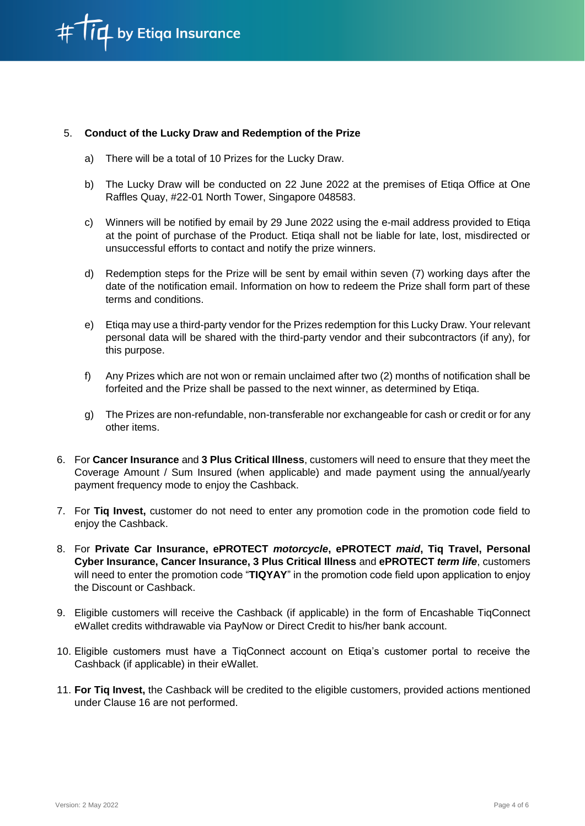

#### 5. **Conduct of the Lucky Draw and Redemption of the Prize**

- a) There will be a total of 10 Prizes for the Lucky Draw.
- b) The Lucky Draw will be conducted on 22 June 2022 at the premises of Etiqa Office at One Raffles Quay, #22-01 North Tower, Singapore 048583.
- c) Winners will be notified by email by 29 June 2022 using the e-mail address provided to Etiqa at the point of purchase of the Product. Etiqa shall not be liable for late, lost, misdirected or unsuccessful efforts to contact and notify the prize winners.
- d) Redemption steps for the Prize will be sent by email within seven (7) working days after the date of the notification email. Information on how to redeem the Prize shall form part of these terms and conditions.
- e) Etiqa may use a third-party vendor for the Prizes redemption for this Lucky Draw. Your relevant personal data will be shared with the third-party vendor and their subcontractors (if any), for this purpose.
- f) Any Prizes which are not won or remain unclaimed after two (2) months of notification shall be forfeited and the Prize shall be passed to the next winner, as determined by Etiqa.
- g) The Prizes are non-refundable, non-transferable nor exchangeable for cash or credit or for any other items.
- 6. For **Cancer Insurance** and **3 Plus Critical Illness**, customers will need to ensure that they meet the Coverage Amount / Sum Insured (when applicable) and made payment using the annual/yearly payment frequency mode to enjoy the Cashback.
- 7. For **Tiq Invest,** customer do not need to enter any promotion code in the promotion code field to enjoy the Cashback.
- 8. For **Private Car Insurance, ePROTECT** *motorcycle***, ePROTECT** *maid***, Tiq Travel, Personal Cyber Insurance, Cancer Insurance, 3 Plus Critical Illness** and **ePROTECT** *term life*, customers will need to enter the promotion code "**TIQYAY**" in the promotion code field upon application to enjoy the Discount or Cashback.
- 9. Eligible customers will receive the Cashback (if applicable) in the form of Encashable TiqConnect eWallet credits withdrawable via PayNow or Direct Credit to his/her bank account.
- 10. Eligible customers must have a TiqConnect account on Etiqa's customer portal to receive the Cashback (if applicable) in their eWallet.
- 11. **For Tiq Invest,** the Cashback will be credited to the eligible customers, provided actions mentioned under Clause 16 are not performed.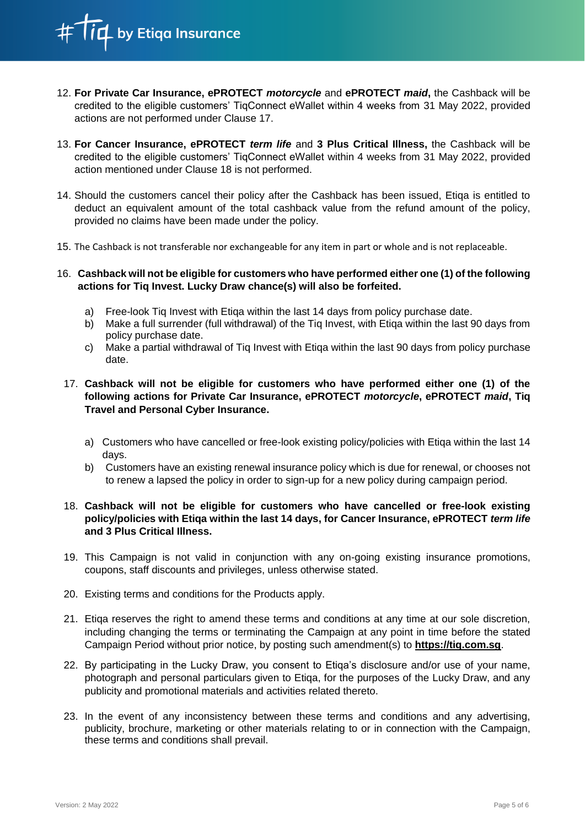id by Etiqa Insurance

- 12. **For Private Car Insurance, ePROTECT** *motorcycle* and **ePROTECT** *maid***,** the Cashback will be credited to the eligible customers' TiqConnect eWallet within 4 weeks from 31 May 2022, provided actions are not performed under Clause 17.
- 13. **For Cancer Insurance, ePROTECT** *term life* and **3 Plus Critical Illness,** the Cashback will be credited to the eligible customers' TiqConnect eWallet within 4 weeks from 31 May 2022, provided action mentioned under Clause 18 is not performed.
- 14. Should the customers cancel their policy after the Cashback has been issued, Etiqa is entitled to deduct an equivalent amount of the total cashback value from the refund amount of the policy, provided no claims have been made under the policy.
- 15. The Cashback is not transferable nor exchangeable for any item in part or whole and is not replaceable.

16. **Cashback will not be eligible for customers who have performed either one (1) of the following actions for Tiq Invest. Lucky Draw chance(s) will also be forfeited.**

- a) Free-look Tiq Invest with Etiqa within the last 14 days from policy purchase date.
- b) Make a full surrender (full withdrawal) of the Tiq Invest, with Etiqa within the last 90 days from policy purchase date.
- c) Make a partial withdrawal of Tiq Invest with Etiqa within the last 90 days from policy purchase date.

## 17. **Cashback will not be eligible for customers who have performed either one (1) of the following actions for Private Car Insurance, ePROTECT** *motorcycle***, ePROTECT** *maid***, Tiq Travel and Personal Cyber Insurance.**

- a) Customers who have cancelled or free-look existing policy/policies with Etiqa within the last 14 days.
- b) Customers have an existing renewal insurance policy which is due for renewal, or chooses not to renew a lapsed the policy in order to sign-up for a new policy during campaign period.

### 18. **Cashback will not be eligible for customers who have cancelled or free-look existing policy/policies with Etiqa within the last 14 days, for Cancer Insurance, ePROTECT** *term life* **and 3 Plus Critical Illness.**

- 19. This Campaign is not valid in conjunction with any on-going existing insurance promotions, coupons, staff discounts and privileges, unless otherwise stated.
- 20. Existing terms and conditions for the Products apply.
- 21. Etiqa reserves the right to amend these terms and conditions at any time at our sole discretion, including changing the terms or terminating the Campaign at any point in time before the stated Campaign Period without prior notice, by posting such amendment(s) to **[https://tiq.com.sg](https://tiq.com.sg/)**.
- 22. By participating in the Lucky Draw, you consent to Etiqa's disclosure and/or use of your name, photograph and personal particulars given to Etiqa, for the purposes of the Lucky Draw, and any publicity and promotional materials and activities related thereto.
- 23. In the event of any inconsistency between these terms and conditions and any advertising, publicity, brochure, marketing or other materials relating to or in connection with the Campaign, these terms and conditions shall prevail.